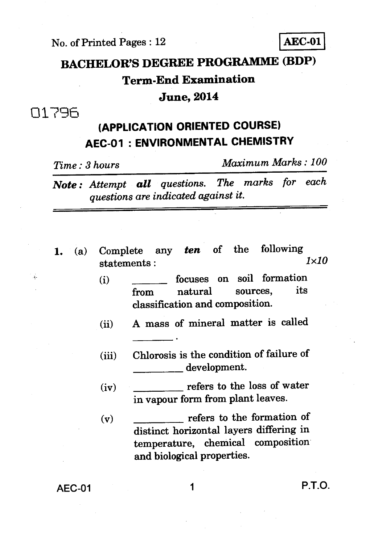**No. of Printed Pages : 12 AEC-01** 

# **BACHELOR'S DEGREE PROGRAMME (BDP) Term-End Examination June, 2014**

## 0179A

# **(APPLICATION ORIENTED COURSE) AEC-01 : ENVIRONMENTAL CHEMISTRY**

*Time : 3 hours Maximum Marks : 100* 

*Note : Attempt all questions. The marks for each questions are indicated against it.* 

- **1.** (a) Complete any *ten* of the following  $1 \times 10$  $statements:$ 
	- (i) **focuses** on soil formation from natural sources, **classification and composition.**
	- **(ii) A mass of mineral matter is called**
	- **(iii) Chlorosis is the condition of failure of development.**
	- **(iv) refers to the loss of water in vapour form from plant leaves.**
	- **(v) refers to the formation of distinct horizontal layers differing in temperature, chemical composition and biological properties.**

**AEC-01 1 P.T.O.**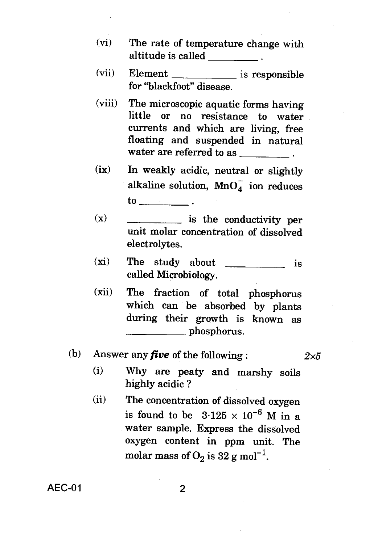- (vi) The rate of temperature change with altitude is called \_\_\_\_\_\_\_\_\_\_\_.
- (vii) Element \_\_\_\_\_\_\_\_\_\_\_\_\_ is responsible for "blackfoot" disease.
- (viii) The microscopic aquatic forms having little or no resistance to water currents and which are living, free floating and suspended in natural water are referred to as \_\_\_\_\_\_\_\_\_\_\_.
- (ix) In weakly acidic, neutral or slightly alkaline solution,  $MnO<sub>A</sub>$  ion reduces to
- $(x)$  is the conductivity per unit molar concentration of dissolved electrolytes.
- $(xi)$  The study about  $x_i$  is called Microbiology.
- (xii) The fraction of total phosphorus which can be absorbed by plants during their growth is known as phosphorus.
- (b) Answer any *five* of the following :  $2 \times 5$

- (i) Why are peaty and marshy soils highly acidic ?
- (ii) The concentration of dissolved oxygen is found to be  $3.125 \times 10^{-6}$  M in a water sample. Express the dissolved oxygen content in ppm unit. The molar mass of  $O_2$  is 32 g mol<sup>-1</sup>.

AEC-01 2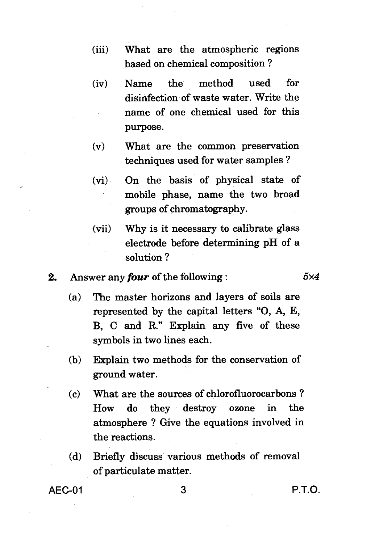- (iii) What are the atmospheric regions based on chemical composition ?
- (iv) Name the method used for disinfection of waste water. Write the name of one chemical used for this purpose.
- (v) What are the common preservation techniques used for water samples ?
- (vi) On the basis of physical state of mobile phase, name the two broad groups of chromatography.
- (vii) Why is it necessary to calibrate glass electrode before determining pH of a solution ?

### 2. Answer any *four* of the following :  $5 \times 4$

- (a) The master horizons and layers of soils are represented by the capital letters "0, A, E, B, C and R." Explain any five of these symbols in two lines each.
- (b) Explain two methods for the conservation of ground water.
- (c) What are the sources of chlorofluorocarbons ? How do they destroy ozone in the atmosphere ? Give the equations involved in the reactions.
- (d) Briefly discuss various methods of removal of particulate matter.

AEC-01 3 P.T.O.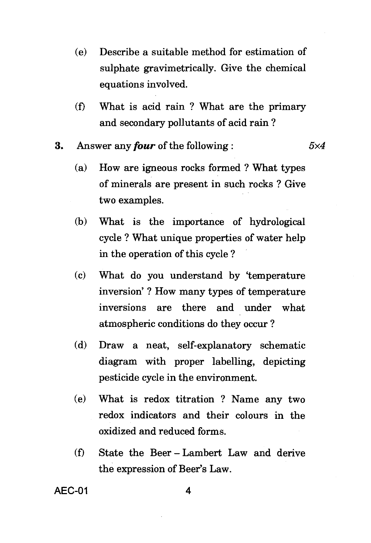- (e) Describe a suitable method for estimation of sulphate gravimetrically. Give the chemical equations involved.
- (f) What is acid rain ? What are the primary and secondary pollutants of acid rain ?

3. Answer any *four* of the following :  $5 \times 4$ 

- (a) How are igneous rocks formed ? What types of minerals are present in such rocks ? Give two examples.
- (b) What is the importance of hydrological cycle ? What unique properties of water help in the operation of this cycle ?
- (c) What do you understand by 'temperature inversion' ? How many types of temperature inversions are there and under what atmospheric conditions do they occur ?
- (d) Draw a neat, self-explanatory schematic diagram with proper labelling, depicting pesticide cycle in the environment.
- (e) What is redox titration ? Name any two redox indicators and their colours in the oxidized and reduced forms.
- (0 State the Beer Lambert Law and derive the expression of Beer's Law.

AEC-01 4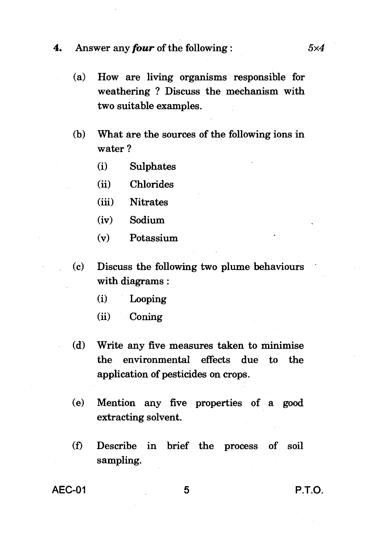#### **4.** Answer any *four* of the following : 5x4

- (a) How are living organisms responsible for weathering ? Discuss the mechanism with two suitable examples.
- (b) What are the sources of the following ions in water ?
	- (i) Sulphates
	- (ii) Chlorides
	- (iii) Nitrates
	- (iv) Sodium
	- (v) Potassium
- (c) Discuss the following two plume behaviours with diagrams :
	- (i) Looping
	- (ii) Coning
- (d) Write any five measures taken to minimise the environmental effects due to the application of pesticides on crops.
- (e) Mention any five properties of a good extracting solvent.
- (f) Describe in brief the process of soil sampling.

AEC-01 5 P.T.O.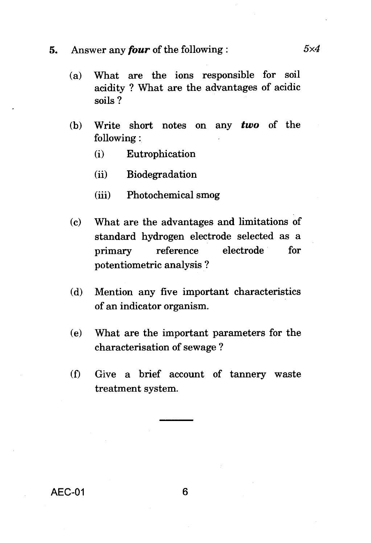## **5.** Answer any *four* of the following :  $5 \times 4$

- (a) What are the ions responsible for soil acidity ? What are the advantages of acidic soils ?
- (b) Write short notes on any *two* of the following:
	- (i) Eutrophication
	- (ii) Biodegradation
	- (iii) Photochemical smog
- (c) What are the advantages and limitations of standard hydrogen electrode selected as a primary reference electrode for potentiometric analysis ?
- (d) Mention any five important characteristics of an indicator organism.
- (e) What are the important parameters for the characterisation of sewage ?
- (f) Give a brief account of tannery waste treatment system.

AEC-01 6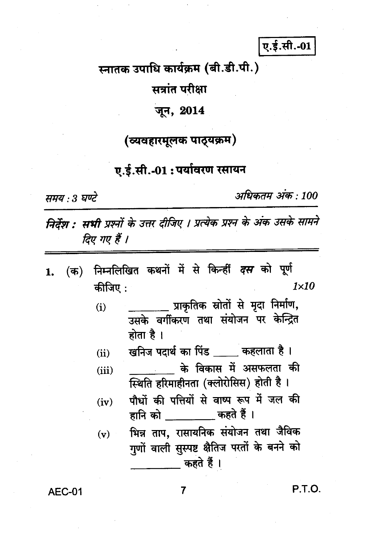ए.ई.सी.-01

स्नातक उपाधि कार्यक्रम (बी.डी.पी.)

सत्रांत परीक्षा

## जन, 2014

## (व्यवहारमूलक पाठ्यक्रम)

## ए.ई.सी.-01 : पर्यावरण रसायन

समय : 3 घण्टे

अधिकतम् अंक : 100

निर्देश : सभी प्रश्नों के उत्तर दीजिए । प्रत्येक प्रश्न के अंक उसके सामने दिए गए हैं ।

- निम्नलिखित कथनों में से किन्हीं *दस* को पूर्ण  $($ क) 1. कीजिए:  $1 \times 10$ 
	- प्राकृतिक स्रोतों से मृदा निर्माण,  $(i)$ उसके वर्गीकरण तथा संयोजन पर केन्द्रित होता है ।

खनिज पदार्थ का पिंड कहलाता है।  $(ii)$ 

- के विकास में असफलता की  $(iii)$ स्थिति हरिमाहीनता (क्लोरोसिस) होती है ।
- पौधों की पत्तियों से वाष्प रूप में जल की  $(iv)$ हानि को ताल कहते हैं ।
- भिन्न ताप, रासायनिक संयोजन तथा जैविक  $(v)$ गुणों वाली सुस्पष्ट क्षैतिज परतों के बनने को कहते हैं ।

**AEC-01** 

P.T.O.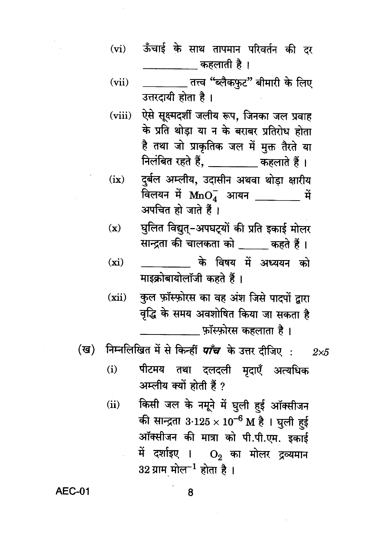- ऊँचाई के साथ तापमान परिवर्तन की दर  $(vi)$ \_\_\_\_\_\_\_\_\_\_\_ कहलाती है ।
- \_\_\_\_ तत्त्व "ब्लैकफुट" बीमारी के लिए  $(vii)$ उत्तरदायी होता है।
- ऐसे सूक्ष्मदर्शी जलीय रूप, जिनका जल प्रवाह  $(viii)$ के प्रति थोड़ा या न के बराबर प्रतिरोध होता है तथा जो प्राकृतिक जल में मुक्त तैरते या निलंबित रहते हैं, \_\_\_\_\_\_\_\_ कहलाते हैं।
- दुर्बल अम्लीय, उदासीन अथवा थोड़ा क्षारीय  $(ix)$ विलयन में  $\text{MnO}_4^-$  आयन भार्मे अपचित हो जाते हैं।
- घुलित विद्युत्-अपघट्यों की प्रति इकाई मोलर  $(x)$ सान्द्रता की चालकता को कहते हैं।
- के विषय में अध्ययन को  $(xi)$ माइक्रोबायोलॉजी कहते हैं।
- कुल फ़ॉस्फ़ोरस का वह अंश जिसे पादपों द्वारा  $(xii)$ वृद्धि के समय अवशोषित किया जा सकता है
	- फॉस्फ़ोरस कहलाता है।
- (ख) निम्नलिखित में से किन्हीं *पाँच* के उत्तर दीजिए :  $2\times 5$ 
	- पीटमय तथा दलदली मृदाएँ अत्यधिक  $(i)$ अम्लीय क्यों होती हैं ?
	- किसी जल के नमूने में घुली हई ऑक्सीजन  $(ii)$ की सान्द्रता 3·125  $\times$  10<sup>-6</sup> M है । घुली हई ऑक्सीजन की मात्रा को पी.पी.एम. इकाई में दर्शाइए ।  $\mathbf{O}_{2}$  का मोलर द्रव्यमान  $32$  ग्राम मोल $^{-1}$  होता है।

#### **AEC-01**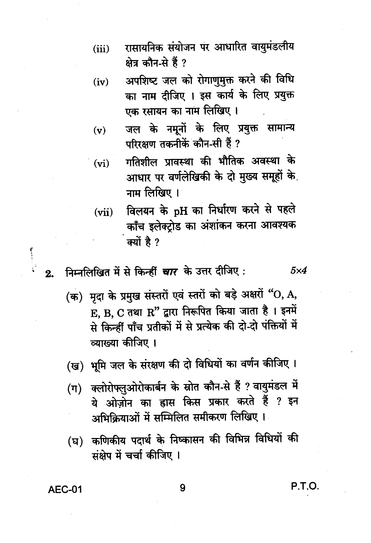- रासायनिक संयोजन पर आधारित वायुमंडलीय  $(iii)$ क्षेत्र कौन-से हैं ?
- अपशिष्ट जल को रोगाणुमुक्त करने की विधि  $(iv)$ का नाम दीजिए । इस कार्य के लिए प्रयुक्त एक रसायन का नाम लिखिए ।
- जल के नमूनों के लिए प्रयुक्त सामान्य  $(v)$ परिरक्षण तकनीकें कौन-सी हैं ?
- गतिशील प्रावस्था की भौतिक अवस्था के  $(vi)$ आधार पर वर्णलेखिकी के दो मुख्य समूहों के नाम लिखिए ।
- विलयन के pH का निर्धारण करने से पहले  $(vii)$ काँच इलेक्ट्रोड का अंशांकन करना आवश्यक क्यों है ?
- निम्नलिखित में से किन्हीं *चार* के उत्तर दीजिए:  $2.$ 
	- (क) मृदा के प्रमुख संस्तरों एवं स्तरों को बड़े अक्षरों "O, A, E. B. C तथा R" द्वारा निरूपित किया जाता है। इनमें से किन्हीं पाँच प्रतीकों में से प्रत्येक की दो-दो पंक्तियों में व्याख्या कीजिए ।
	- (ख) भूमि जल के संरक्षण की दो विधियों का वर्णन कीजिए ।
	- क्लोरोफ्लुओरोकार्बन के स्रोत कौन-से हैं ? वायुमंडल में  $(\Pi)$ ये ओज़ोन का ह्रास किस प्रकार करते हैं ? इन अभिक्रियाओं में सम्मिलित समीकरण लिखिए ।
	- (घ) कणिकीय पदार्थ के निष्कासन की विभिन्न विधियों की संक्षेप में चर्चा कीजिए ।

**AEC-01** 

P.T.O.

 $5\times4$ 

9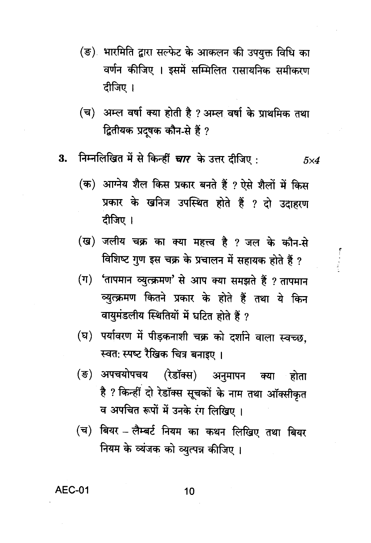- (ङ) भारमिति द्वारा सल्फेट के आकलन की उपयुक्त विधि का वर्णन कीजिए । इसमें सम्मिलित रासायनिक समीकरण दीजिए ।
- (च) अम्ल वर्षा क्या होती है ? अम्ल वर्षा के प्राथमिक तथा द्वितीयक प्रदूषक कौन-से हैं ?
- निम्नलिखित में से किन्हीं चार के उत्तर दीजिए: 3.  $5\times4$ 
	- (क) आग्नेय शैल किस प्रकार बनते हैं ? ऐसे शैलों में किस प्रकार के खनिज उपस्थित होते हैं ? दो उदाहरण दीजिए ।
	- (ख) जलीय चक्र का क्या महत्त्व है ? जल के कौन-से विशिष्ट गुण इस चक्र के प्रचालन में सहायक होते हैं ?
	- (ग) 'तापमान व्युत्क्रमण' से आप क्या समझते हैं ? तापमान व्युत्क्रमण कितने प्रकार के होते हैं तथा ये किन वायुमंडलीय स्थितियों में घटित होते हैं ?
	- (घ) पर्यावरण में पीड़कनाशी चक्र को दर्शाने वाला स्वच्छ, स्वतः स्पष्ट रैखिक चित्र बनाइए ।
	- (ङ) अपचयोपचय (रेडॉक्स) अनुमापन क्या होता है ? किन्हीं दो रेडॉक्स सूचकों के नाम तथा ऑक्सीकृत व अपचित रूपों में उनके रंग लिखिए।
	- (च) बियर लैम्बर्ट नियम का कथन लिखिए तथा बियर नियम के व्यंजक को व्युत्पन्न कीजिए।

## **AEC-01**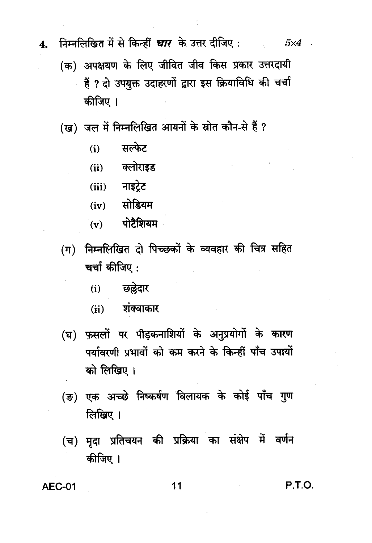4.

#### निम्नलिखित में से किन्हीं *चार* के उत्तर दीजिए :  $5\times4$

- (क) अपक्षयण के लिए जीवित जीव किस प्रकार उत्तरदायी हैं ? दो उपयुक्त उदाहरणों द्वारा इस क्रियाविधि की चर्चा कीजिए ।
- (ख) जल में निम्नलिखित आयनों के स्रोत कौन-से हैं ?
	- सल्फेट  $(i)$
	- (ii) क्लोराइड
	- $(iii)$  नाइटेट
	- $(iv)$  सोडियम
	- $(v)$  पोटैशियम
- (ग) निम्नलिखित दो पिच्छकों के व्यवहार की चित्र सहित चर्चा कीजिए:
	- छल्लेदार  $(i)$
	- शंक्वाकार  $(ii)$
- (घ) फुसलों पर पीड़कनाशियों के अनुप्रयोगों के कारण पर्यावरणी प्रभावों को कम करने के किन्हीं पाँच उपायों को लिखिए।
- (ङ) एक अच्छे निष्कर्षण विलायक के कोई पाँच गुण लिखिए $\parallel$
- (च) मृदा प्रतिचयन की प्रक्रिया का संक्षेप में वर्णन कीजिए ।

**AEC-01** 

#### 11

P.T.O.